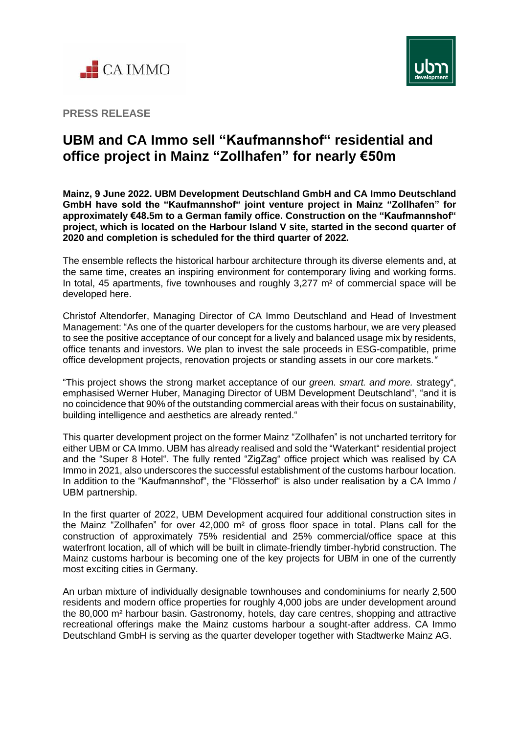



**PRESS RELEASE**

## **UBM and CA Immo sell "Kaufmannshof" residential and office project in Mainz "Zollhafen" for nearly €50m**

**Mainz, 9 June 2022. UBM Development Deutschland GmbH and CA Immo Deutschland GmbH have sold the "Kaufmannshof" joint venture project in Mainz "Zollhafen" for approximately €48.5m to a German family office. Construction on the "Kaufmannshof" project, which is located on the Harbour Island V site, started in the second quarter of 2020 and completion is scheduled for the third quarter of 2022.**

The ensemble reflects the historical harbour architecture through its diverse elements and, at the same time, creates an inspiring environment for contemporary living and working forms. In total, 45 apartments, five townhouses and roughly 3,277 m<sup>2</sup> of commercial space will be developed here.

Christof Altendorfer, Managing Director of CA Immo Deutschland and Head of Investment Management: "As one of the quarter developers for the customs harbour, we are very pleased to see the positive acceptance of our concept for a lively and balanced usage mix by residents, office tenants and investors. We plan to invest the sale proceeds in ESG-compatible, prime office development projects, renovation projects or standing assets in our core markets.*"*

"This project shows the strong market acceptance of our *green. smart. and more.* strategy", emphasised Werner Huber, Managing Director of UBM Development Deutschland", "and it is no coincidence that 90% of the outstanding commercial areas with their focus on sustainability, building intelligence and aesthetics are already rented."

This quarter development project on the former Mainz "Zollhafen" is not uncharted territory for either UBM or CA Immo. UBM has already realised and sold the "Waterkant" residential project and the "Super 8 Hotel". The fully rented "ZigZag" office project which was realised by CA Immo in 2021, also underscores the successful establishment of the customs harbour location. In addition to the "Kaufmannshof", the "Flösserhof" is also under realisation by a CA Immo / UBM partnership.

In the first quarter of 2022, UBM Development acquired four additional construction sites in the Mainz "Zollhafen" for over 42,000 m² of gross floor space in total. Plans call for the construction of approximately 75% residential and 25% commercial/office space at this waterfront location, all of which will be built in climate-friendly timber-hybrid construction. The Mainz customs harbour is becoming one of the key projects for UBM in one of the currently most exciting cities in Germany.

An urban mixture of individually designable townhouses and condominiums for nearly 2,500 residents and modern office properties for roughly 4,000 jobs are under development around the 80,000 m² harbour basin. Gastronomy, hotels, day care centres, shopping and attractive recreational offerings make the Mainz customs harbour a sought-after address. CA Immo Deutschland GmbH is serving as the quarter developer together with Stadtwerke Mainz AG.